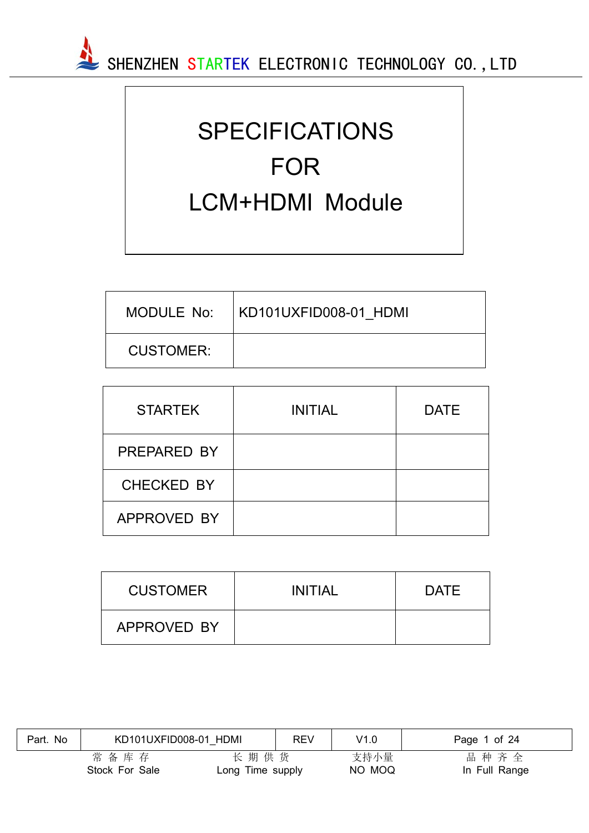

# SPECIFICATIONS FOR LCM+HDMI Module

| MODULE No:       | KD101UXFID008-01 HDMI |
|------------------|-----------------------|
| <b>CUSTOMER:</b> |                       |

| <b>STARTEK</b>    | <b>INITIAL</b> | <b>DATE</b> |
|-------------------|----------------|-------------|
| PREPARED BY       |                |             |
| <b>CHECKED BY</b> |                |             |
| APPROVED BY       |                |             |

| <b>CUSTOMER</b> | <b>INITIAL</b> | <b>DATE</b> |
|-----------------|----------------|-------------|
| APPROVED BY     |                |             |

| Part. No | KD101UXFID008-01 HDMI  |                          | <b>REV</b> | V1.0           | Page 1 of 24          |
|----------|------------------------|--------------------------|------------|----------------|-----------------------|
|          | 常备库存<br>Stock For Sale | 长期供货<br>Long Time supply |            | 支持小量<br>NO MOQ | 品种齐全<br>In Full Range |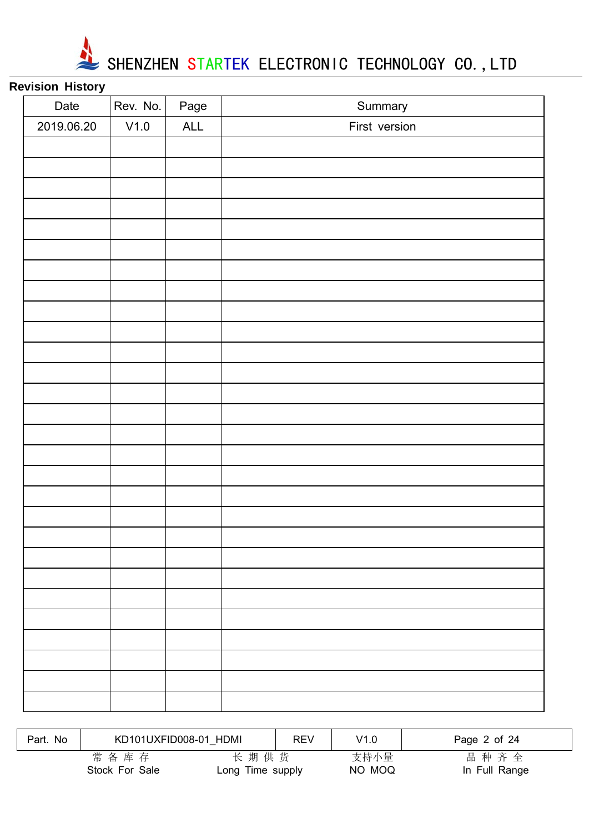

# **Revision History**

|      | Page | Summary       |
|------|------|---------------|
| V1.0 | ALL  | First version |
|      |      |               |
|      |      |               |
|      |      |               |
|      |      |               |
|      |      |               |
|      |      |               |
|      |      |               |
|      |      |               |
|      |      |               |
|      |      |               |
|      |      |               |
|      |      |               |
|      |      |               |
|      |      |               |
|      |      |               |
|      |      |               |
|      |      |               |
|      |      |               |
|      |      |               |
|      |      |               |
|      |      |               |
|      |      |               |
|      |      |               |
|      |      |               |
|      |      |               |
|      |      |               |
|      |      |               |
|      |      |               |
|      |      | Rev. No.      |

| Part. No | KD101UXFID008-01 HDMI  |                          | <b>REV</b> | V1.0           | Page 2 of 24          |
|----------|------------------------|--------------------------|------------|----------------|-----------------------|
|          | 常备库存<br>Stock For Sale | 长期供货<br>Long Time supply |            | 支持小量<br>NO MOQ | 品种齐全<br>In Full Range |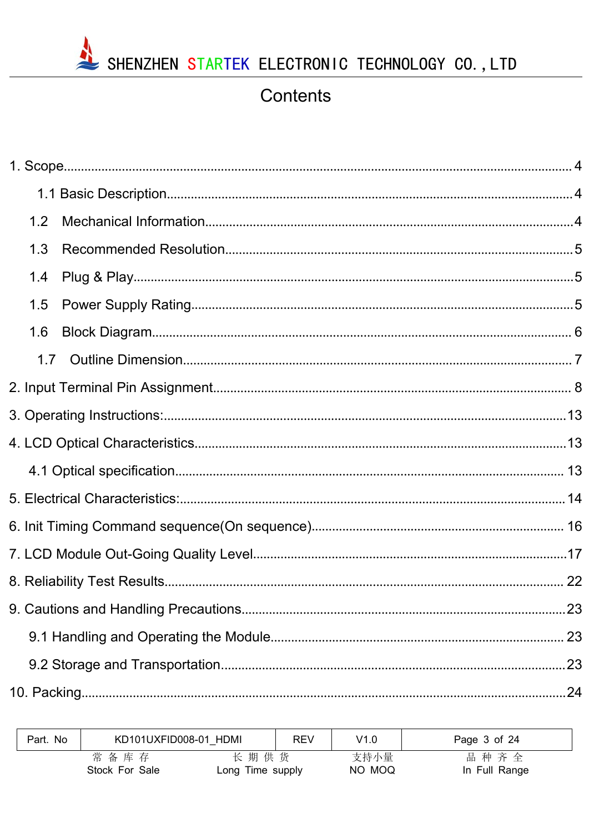

# Contents

| 1.2 |  |
|-----|--|
| 1.3 |  |
| 1.4 |  |
| 1.5 |  |
| 1.6 |  |
| 1.7 |  |
|     |  |
|     |  |
|     |  |
|     |  |
|     |  |
|     |  |
|     |  |
|     |  |
|     |  |
|     |  |
|     |  |
|     |  |
|     |  |

| Part. No | KD101UXFID008-01 HDMI  |                          | REV | V1.0           | Page 3 of 24          |
|----------|------------------------|--------------------------|-----|----------------|-----------------------|
|          | 常备库存<br>Stock For Sale | 长期供货<br>Long Time supply |     | 支持小量<br>NO MOQ | 品种齐全<br>In Full Range |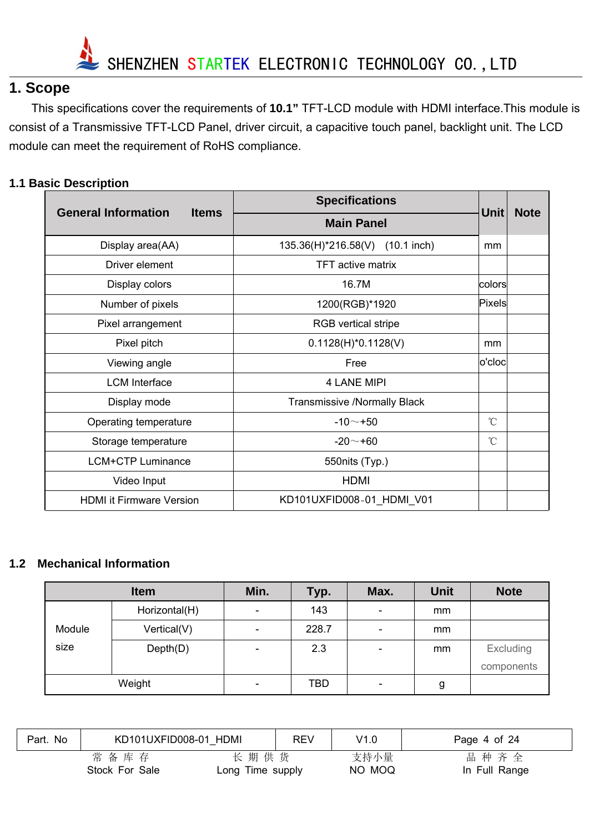

# **1. Scope**

This specifications cover the requirements of **10.1"** TFT-LCD module with HDMI interface.This module is consist of a Transmissive TFT-LCD Panel, driver circuit, a capacitive touch panel, backlight unit. The LCD module can meet the requirement of RoHS compliance.

#### **1.1 Basic Description**

|                                            | <b>Specifications</b>               |                 | <b>Note</b> |
|--------------------------------------------|-------------------------------------|-----------------|-------------|
| <b>General Information</b><br><b>Items</b> | <b>Main Panel</b>                   | <b>Unit</b>     |             |
| Display area(AA)                           | 135.36(H)*216.58(V) (10.1 inch)     | mm              |             |
| Driver element                             | <b>TFT active matrix</b>            |                 |             |
| Display colors                             | 16.7M                               | colors          |             |
| Number of pixels                           | 1200(RGB)*1920                      | Pixels          |             |
| Pixel arrangement                          | RGB vertical stripe                 |                 |             |
| Pixel pitch                                | $0.1128(H)^*0.1128(V)$              | mm              |             |
| Viewing angle                              | Free                                | $ o'$ cloc $ $  |             |
| <b>LCM</b> Interface                       | <b>4 LANE MIPI</b>                  |                 |             |
| Display mode                               | <b>Transmissive /Normally Black</b> |                 |             |
| Operating temperature                      | $-10 - +50$                         | $\rm ^{\circ}C$ |             |
| Storage temperature                        | $-20 - +60$                         | $\mathrm{C}$    |             |
| <b>LCM+CTP Luminance</b>                   | 550nits (Typ.)                      |                 |             |
| Video Input                                | <b>HDMI</b>                         |                 |             |
| <b>HDMI it Firmware Version</b>            | KD101UXFID008-01 HDMI V01           |                 |             |

#### **1.2 Mechanical Information**

|        | <b>Item</b>   | Min.                     | Typ.       | Max.                     | <b>Unit</b> | <b>Note</b> |
|--------|---------------|--------------------------|------------|--------------------------|-------------|-------------|
|        | Horizontal(H) |                          | 143        | $\overline{\phantom{a}}$ | mm          |             |
| Module | Vertical(V)   | $\overline{\phantom{0}}$ | 228.7      | $\overline{\phantom{a}}$ | mm          |             |
| size   | Depth(D)      | $\overline{\phantom{0}}$ | 2.3        | $\overline{\phantom{a}}$ | mm          | Excluding   |
|        |               |                          |            |                          |             | components  |
|        | Weight        | $\overline{\phantom{a}}$ | <b>TBD</b> | $\overline{\phantom{a}}$ | g           |             |

| Part. No | KD101UXFID008-01 HDMI  |                          | <b>REV</b> | V1.0           | Page 4 of 24          |
|----------|------------------------|--------------------------|------------|----------------|-----------------------|
|          | 常备库存<br>Stock For Sale | 长期供货<br>Long Time supply |            | 支持小量<br>NO MOQ | 品种齐全<br>In Full Range |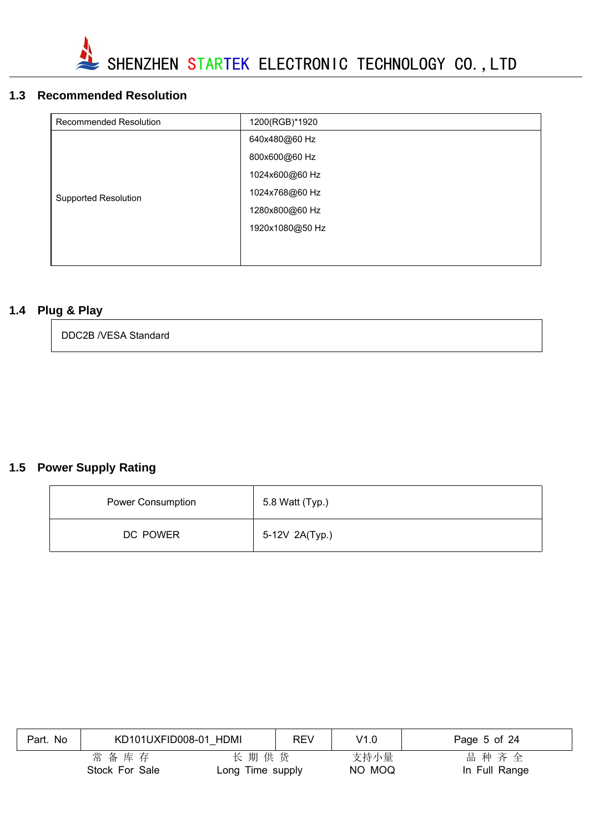

### **1.3 Recommended Resolution**

| Recommended Resolution      | 1200(RGB)*1920  |
|-----------------------------|-----------------|
|                             | 640x480@60 Hz   |
|                             | 800x600@60 Hz   |
|                             | 1024x600@60 Hz  |
| <b>Supported Resolution</b> | 1024x768@60 Hz  |
|                             | 1280x800@60 Hz  |
|                             | 1920x1080@50 Hz |
|                             |                 |
|                             |                 |

### **1.4 Plug & Play**

| DDC2B /VESA Standard |  |
|----------------------|--|
|----------------------|--|

### **1.5 Power Supply Rating**

| Power Consumption | 5.8 Watt (Typ.) |
|-------------------|-----------------|
| DC POWER          | 5-12V 2A(Typ.)  |

| Part. No | KD101UXFID008-01 HDMI  |                          | <b>REV</b> | V1.0           | Page 5 of 24          |
|----------|------------------------|--------------------------|------------|----------------|-----------------------|
|          | 常备库存<br>Stock For Sale | 长期供货<br>Long Time supply |            | 支持小量<br>NO MOQ | 品种齐全<br>In Full Range |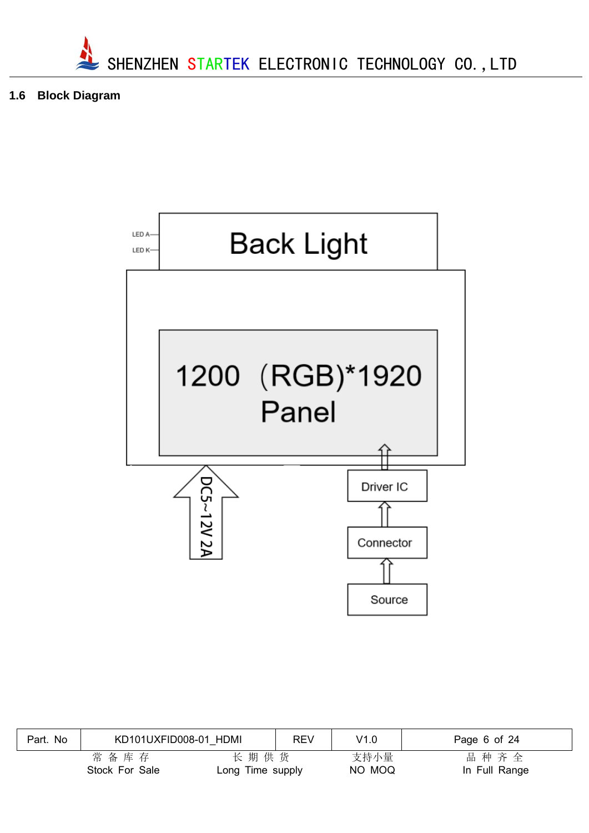

**1.6 Block Diagram**



| Part. No | KD101UXFID008-01 HDMI  |                          | <b>REV</b> | V1.0           | Page 6 of 24          |
|----------|------------------------|--------------------------|------------|----------------|-----------------------|
|          | 常备库存<br>Stock For Sale | 长期供货<br>Long Time supply |            | 支持小量<br>NO MOQ | 品种齐全<br>In Full Range |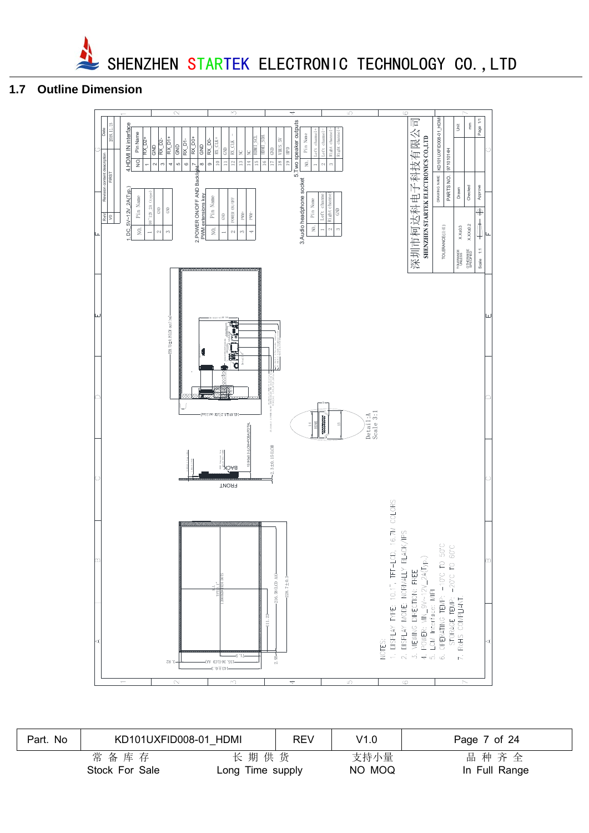

#### **1.7 Outline Dimension**



| Part. No | KD101UXFID008-01 HDMI  |                          | REV | V1.0           | Page 7 of 24          |
|----------|------------------------|--------------------------|-----|----------------|-----------------------|
|          | 常备库存<br>Stock For Sale | 长期供货<br>Long Time supply |     | 支持小量<br>NO MOQ | 品种齐全<br>In Full Range |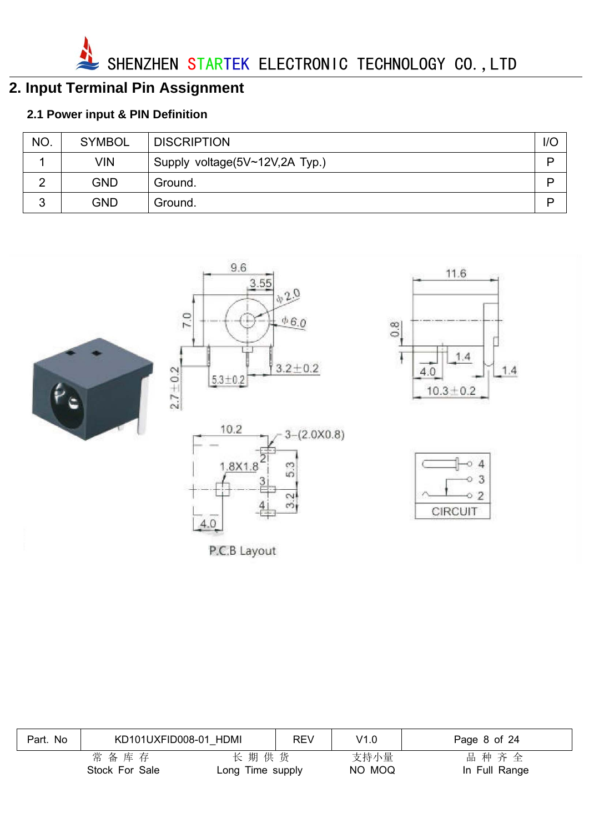

# **2. Input Terminal Pin Assignment**

# **2.1 Power input & PIN Definition**

| NO.    | <b>SYMBOL</b> | <b>DISCRIPTION</b>             | 1/C |
|--------|---------------|--------------------------------|-----|
|        | VIN           | Supply voltage(5V~12V,2A Typ.) | D   |
| ⌒      | <b>GND</b>    | Ground.                        | D   |
| ົ<br>J | <b>GND</b>    | Ground.                        | D   |









11.6

 $1.4$ 

 $1.4$ 

 $\frac{0.8}{\pi}$ 

Ţ

 $4.0$ 



| Part. No | KD101UXFID008-01 HDMI  |                          | <b>REV</b> | V1.0           | Page 8 of 24          |
|----------|------------------------|--------------------------|------------|----------------|-----------------------|
|          | 常备库存<br>Stock For Sale | 长期供货<br>Long Time supply |            | 支持小量<br>NO MOQ | 品种齐全<br>In Full Range |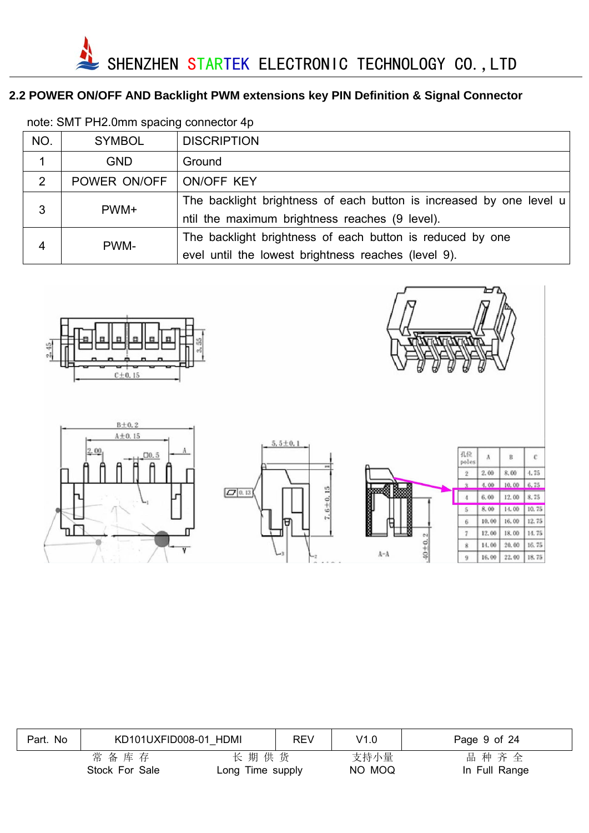# **2.2 POWER ON/OFF AND Backlight PWM extensions key PIN Definition & Signal Connector**

| NO. | <b>SYMBOL</b> | <b>DISCRIPTION</b>                                                                                                    |
|-----|---------------|-----------------------------------------------------------------------------------------------------------------------|
|     | <b>GND</b>    | Ground                                                                                                                |
| 2   | POWER ON/OFF  | ON/OFF KEY                                                                                                            |
| 3   | PWM+          | The backlight brightness of each button is increased by one level u<br>ntil the maximum brightness reaches (9 level). |
| 4   | PWM-          | The backlight brightness of each button is reduced by one<br>evel until the lowest brightness reaches (level 9).      |

note: SMT PH2.0mm spacing connector 4p



 $B\pm0.2$ 





| Part. No | KD101UXFID008-01 HDMI  |                          | <b>REV</b> | V1.0           | Page 9 of 24          |
|----------|------------------------|--------------------------|------------|----------------|-----------------------|
|          | 常备库存<br>Stock For Sale | 长期供货<br>Long Time supply |            | 支持小量<br>NO MOQ | 品种齐全<br>In Full Range |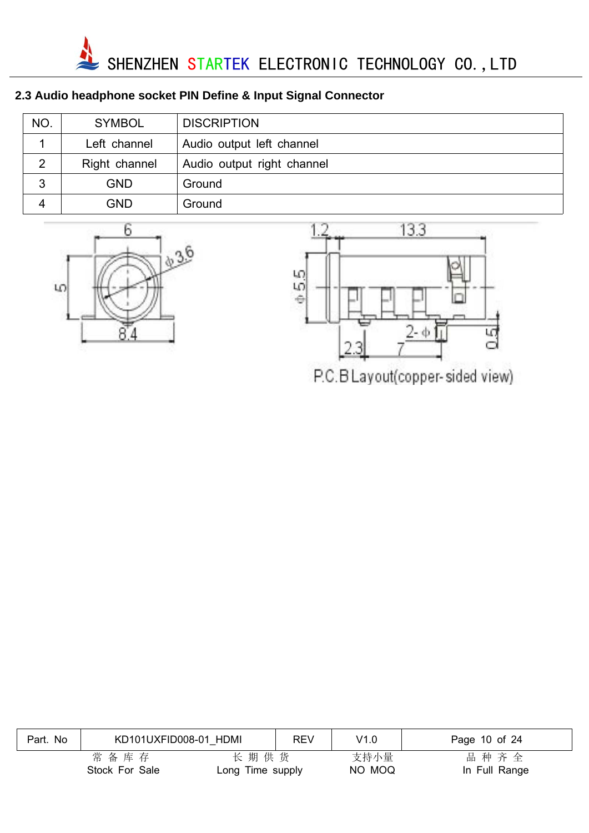

# **2.3 Audio headphone socket PIN Define & Input Signal Connector**

| <b>NO</b>      | <b>SYMBOL</b> | <b>DISCRIPTION</b>         |
|----------------|---------------|----------------------------|
|                | Left channel  | Audio output left channel  |
| $\overline{2}$ | Right channel | Audio output right channel |
| 3              | GND           | Ground                     |
| Δ              | GND           | Ground                     |





P.C.B Layout(copper-sided view)

| Part. No | KD101UXFID008-01 HDMI  |                          | <b>REV</b> | V1.0           | Page 10 of 24         |
|----------|------------------------|--------------------------|------------|----------------|-----------------------|
|          | 常备库存<br>Stock For Sale | 长期供货<br>Long Time supply |            | 支持小量<br>NO MOQ | 品种齐全<br>In Full Range |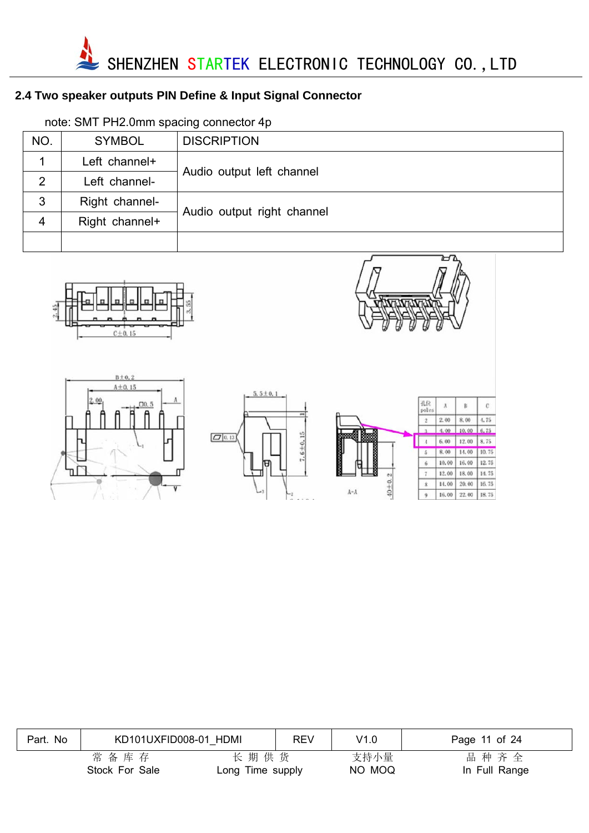

# **2.4 Two speaker outputs PIN Define & Input Signal Connector**

| NO. | <b>SYMBOL</b>  | <b>DISCRIPTION</b>         |  |  |
|-----|----------------|----------------------------|--|--|
|     | Left channel+  | Audio output left channel  |  |  |
| 2   | Left channel-  |                            |  |  |
| 3   | Right channel- |                            |  |  |
| 4   | Right channel+ | Audio output right channel |  |  |
|     |                |                            |  |  |

note: SMT PH2.0mm spacing connector 4p

| ÷ |  |
|---|--|
|   |  |



| Part. No | KD101UXFID008-01 HDMI  |                          | <b>REV</b> | V1.0           | Page 11 of 24         |
|----------|------------------------|--------------------------|------------|----------------|-----------------------|
|          | 常备库存<br>Stock For Sale | 长期供货<br>Long Time supply |            | 支持小量<br>NO MOQ | 品种齐全<br>In Full Range |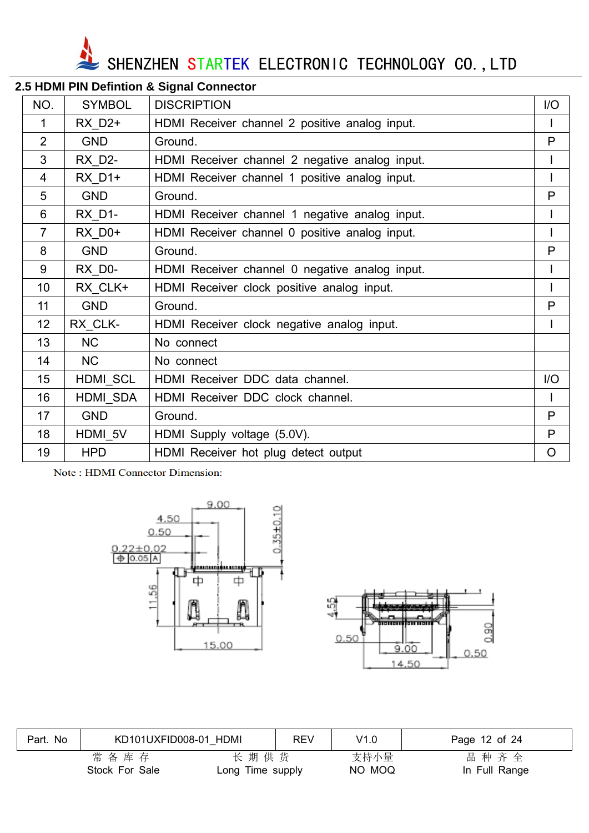SHENZHEN STARTEK ELECTRONIC TECHNOLOGY CO., LTD

| NO.            | <b>SYMBOL</b>      | <b>DISCRIPTION</b>                             | I/O     |
|----------------|--------------------|------------------------------------------------|---------|
| 1              | RX D2+             | HDMI Receiver channel 2 positive analog input. |         |
| $\overline{2}$ | <b>GND</b>         | Ground.                                        | P       |
| 3              | RX D2-             | HDMI Receiver channel 2 negative analog input. |         |
| 4              | RX D1+             | HDMI Receiver channel 1 positive analog input. |         |
| 5              | <b>GND</b>         | Ground.                                        | P       |
| 6              | <b>RX_D1-</b>      | HDMI Receiver channel 1 negative analog input. |         |
| $\overline{7}$ | RX D <sub>0+</sub> | HDMI Receiver channel 0 positive analog input. |         |
| 8              | <b>GND</b>         | Ground.                                        | P       |
| 9              | RX D0-             | HDMI Receiver channel 0 negative analog input. |         |
| 10             | RX CLK+            | HDMI Receiver clock positive analog input.     |         |
| 11             | <b>GND</b>         | Ground.                                        | P       |
| 12             | RX CLK-            | HDMI Receiver clock negative analog input.     |         |
| 13             | <b>NC</b>          | No connect                                     |         |
| 14             | <b>NC</b>          | No connect                                     |         |
| 15             | <b>HDMI SCL</b>    | HDMI Receiver DDC data channel.                | I/O     |
| 16             | HDMI SDA           | HDMI Receiver DDC clock channel.               |         |
| 17             | <b>GND</b>         | Ground.                                        | P       |
| 18             | HDMI 5V            | HDMI Supply voltage (5.0V).                    | P       |
| 19             | <b>HPD</b>         | HDMI Receiver hot plug detect output           | $\circ$ |

#### **2.5 HDMI PIN Defintion & Signal Connector**

Note: HDMI Connector Dimension:





| Part. No | KD101UXFID008-01 HDMI  |                          | <b>REV</b> | V1.0           | Page 12 of 24         |
|----------|------------------------|--------------------------|------------|----------------|-----------------------|
|          | 常备库存<br>Stock For Sale | 长期供货<br>Long Time supply |            | 支持小量<br>NO MOQ | 品种齐全<br>In Full Range |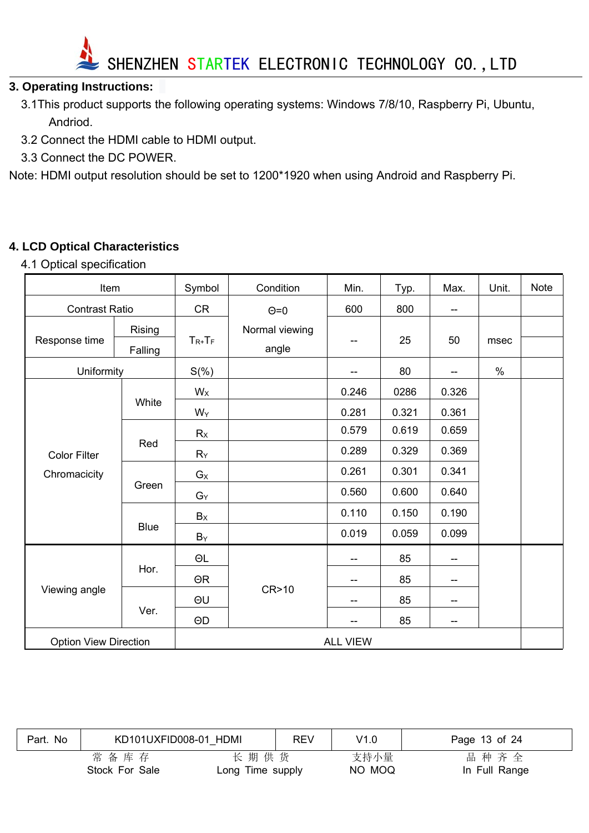

#### **3. Operating Instructions:**

- 3.1This product supports the following operating systems: Windows 7/8/10, Raspberry Pi, Ubuntu, Andriod.
- 3.2 Connect the HDMI cable to HDMI output.
- 3.3 Connect the DC POWER.

Note: HDMI output resolution should be set to 1200\*1920 when using Android and Raspberry Pi.

#### **4. LCD Optical Characteristics**

4.1 Optical specification

| Item                         |             | Symbol      | Condition       | Min.  | Typ.  | Max.                     | Unit. | <b>Note</b> |
|------------------------------|-------------|-------------|-----------------|-------|-------|--------------------------|-------|-------------|
| <b>Contrast Ratio</b>        |             | <b>CR</b>   | $\Theta$ =0     | 600   | 800   | $\overline{\phantom{a}}$ |       |             |
| Response time                | Rising      | $T_{R+}T_F$ | Normal viewing  |       | 25    | 50                       | msec  |             |
|                              | Falling     |             | angle           |       |       |                          |       |             |
| Uniformity                   |             | $S(\%)$     |                 |       | 80    | $\qquad \qquad -$        | $\%$  |             |
|                              |             | $W_{X}$     |                 | 0.246 | 0286  | 0.326                    |       |             |
|                              | White       | $W_Y$       |                 | 0.281 | 0.321 | 0.361                    |       |             |
|                              |             | $R_X$       |                 | 0.579 | 0.619 | 0.659                    |       |             |
| <b>Color Filter</b>          | Red         | $R_Y$       |                 | 0.289 | 0.329 | 0.369                    |       |             |
| Chromacicity                 |             | $G_X$       |                 | 0.261 | 0.301 | 0.341                    |       |             |
|                              | Green       | $G_Y$       |                 | 0.560 | 0.600 | 0.640                    |       |             |
|                              |             | $B_{X}$     |                 | 0.110 | 0.150 | 0.190                    |       |             |
|                              | <b>Blue</b> | $B_Y$       |                 | 0.019 | 0.059 | 0.099                    |       |             |
|                              |             | $\Theta L$  |                 | --    | 85    | $\qquad \qquad -$        |       |             |
| Viewing angle                | Hor.        | $\Theta$ R  |                 | --    | 85    | $-$                      |       |             |
|                              |             | ΘU          | CR>10           | --    | 85    | --                       |       |             |
|                              | Ver.        | $\Theta$ D  |                 |       | 85    | $-\!$ $\!-$              |       |             |
| <b>Option View Direction</b> |             |             | <b>ALL VIEW</b> |       |       |                          |       |             |

| Part. No | KD101UXFID008-01 HDMI  |                          | <b>REV</b> | V1.0           | Page 13 of 24         |
|----------|------------------------|--------------------------|------------|----------------|-----------------------|
|          | 常备库存<br>Stock For Sale | 长期供货<br>Long Time supply |            | 支持小量<br>NO MOQ | 品种齐全<br>In Full Range |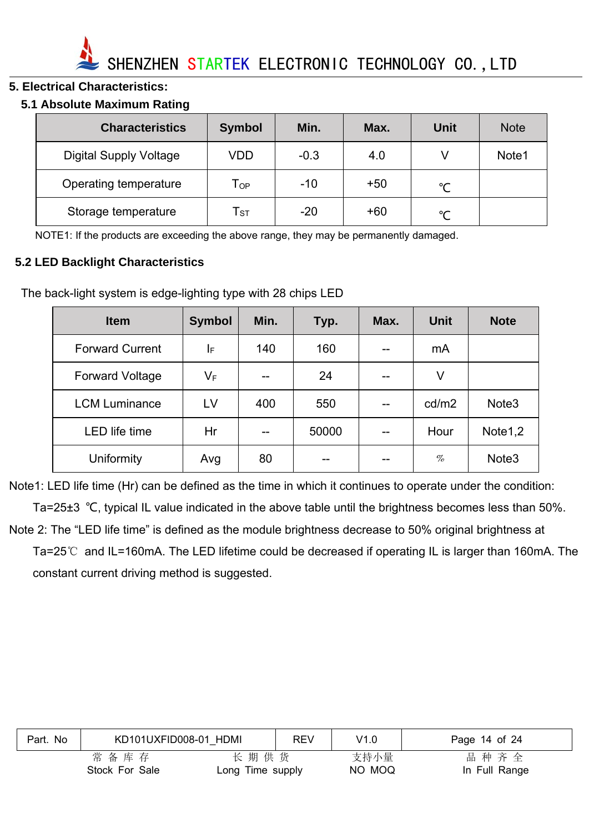

#### **5. Electrical Characteristics:**

#### **5.1 Absolute Maximum Rating**

| <b>Characteristics</b>        | <b>Symbol</b>              | Min.   | Max.  | Unit          | <b>Note</b> |
|-------------------------------|----------------------------|--------|-------|---------------|-------------|
| <b>Digital Supply Voltage</b> | VDD                        | $-0.3$ | 4.0   |               | Note1       |
| Operating temperature         | $\mathsf{T}_{\mathsf{OP}}$ | $-10$  | $+50$ | $\mathcal{C}$ |             |
| Storage temperature           | ${\sf T}_{\sf ST}$         | $-20$  | +60   | $\sim$        |             |

NOTE1: If the products are exceeding the above range, they may be permanently damaged.

#### **5.2 LED Backlight Characteristics**

The back-light system is edge-lighting type with 28 chips LED

| <b>Item</b>            | <b>Symbol</b>           | Min. | Typ.  | Max. | <b>Unit</b> | <b>Note</b>       |
|------------------------|-------------------------|------|-------|------|-------------|-------------------|
| <b>Forward Current</b> | I⊧                      | 140  | 160   |      | mA          |                   |
| <b>Forward Voltage</b> | $\mathsf{V}_\mathsf{F}$ | --   | 24    |      | V           |                   |
| <b>LCM Luminance</b>   | LV                      | 400  | 550   |      | cd/m2       | Note <sub>3</sub> |
| LED life time          | Hr                      |      | 50000 |      | Hour        | Note1,2           |
| Uniformity             | Avg                     | 80   |       |      | $\%$        | Note <sub>3</sub> |

Note1: LED life time (Hr) can be defined as the time in which it continues to operate under the condition: Ta=25±3 ℃, typical IL value indicated in the above table until the brightness becomes less than 50%. Note 2: The "LED life time" is defined as the module brightness decrease to 50% original brightness at Ta=25℃ and IL=160mA. The LED lifetime could be decreased if operating IL is larger than 160mA. The constant current driving method is suggested.

| Part. No | KD101UXFID008-01 HDMI |                  | <b>REV</b> | V1.0   | Page 14 of 24 |
|----------|-----------------------|------------------|------------|--------|---------------|
|          | 常备库存                  | 长期供货             |            | 支持小量   | 品种齐全          |
|          | Stock For Sale        | Long Time supply |            | NO MOQ | In Full Range |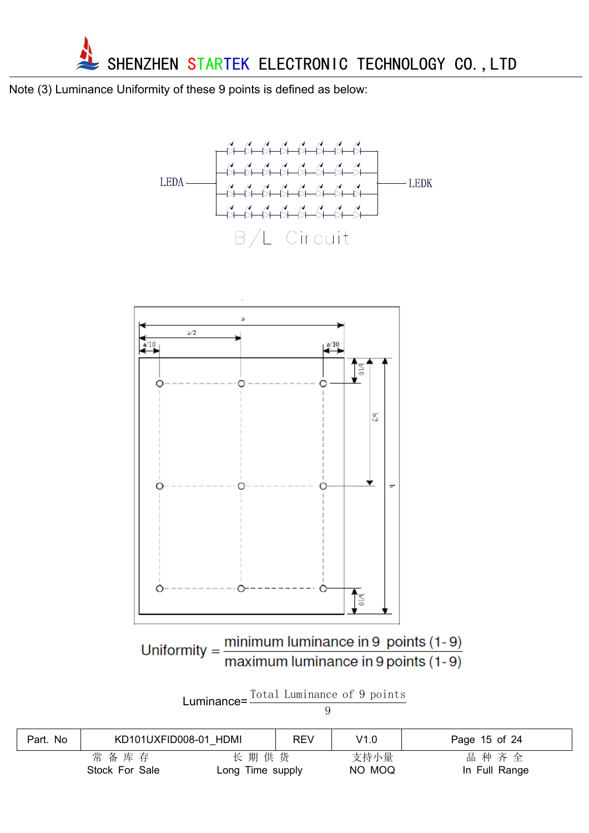

Note (3) Luminance Uniformity of these 9 points is defined as below:





Uniformity =  $\frac{\text{minimum} \text{ luminance in 9 points (1-9)}}{\text{maximum} \text{ luminance in 9 points (1-9)}}$ 

| Luminance= $\frac{10 \tan \frac{10 \tan \pi}{100}}{200}$ | Total Luminance of 9 points |  |  |
|----------------------------------------------------------|-----------------------------|--|--|
|                                                          |                             |  |  |

| Part. No | KD101UXFID008-01 HDMI |                  | <b>REV</b> | V1.0   | Page 15 of 24 |
|----------|-----------------------|------------------|------------|--------|---------------|
|          | 常备库存                  | 长期供货             |            | 支持小量   | 品种齐全          |
|          | Stock For Sale        | Long Time supply |            | NO MOQ | In Full Range |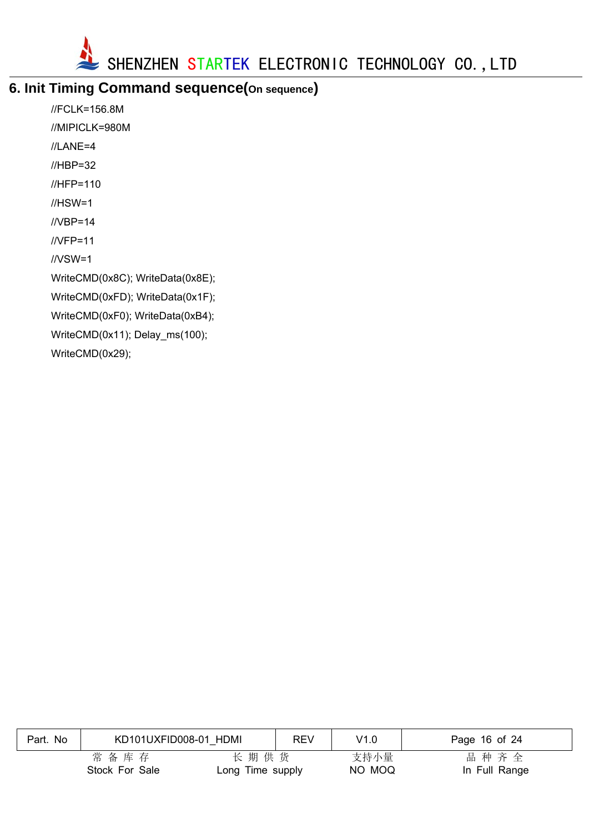

# **6. Init Timing Command sequence(On sequence)**

//FCLK=156.8M //MIPICLK=980M //LANE=4 //HBP=32 //HFP=110 //HSW=1 //VBP=14 //VFP=11 //VSW=1 WriteCMD(0x8C); WriteData(0x8E); WriteCMD(0xFD); WriteData(0x1F); WriteCMD(0xF0); WriteData(0xB4); WriteCMD(0x11); Delay\_ms(100); WriteCMD(0x29);

| Part. No | KD101UXFID008-01 HDMI |                  | <b>REV</b> | V1.0   | Page 16 of 24 |
|----------|-----------------------|------------------|------------|--------|---------------|
|          | 常备库存                  | 长期供货             |            | 支持小量   | 品种齐全          |
|          | Stock For Sale        | Long Time supply |            | NO MOQ | In Full Range |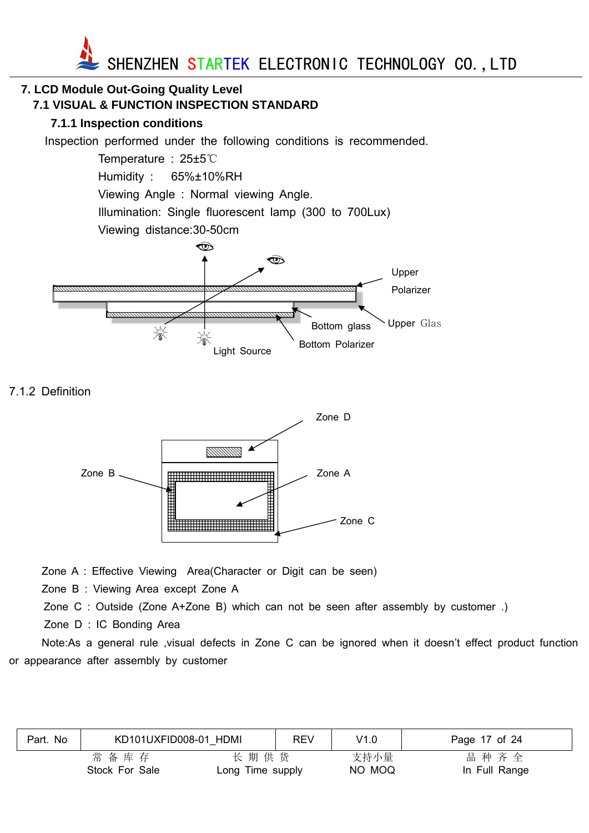

# **7. LCD Module Out-Going Quality Level**

#### **7.1 VISUAL & FUNCTION INSPECTION STANDARD**

#### **7.1.1 Inspection conditions**

Inspection performed under the following conditions is recommended.

Temperature : 25±5℃ Humidity : 65%±10%RH Viewing Angle : Normal viewing Angle. Illumination: Single fluorescent lamp (300 to 700Lux) Viewing distance:30-50cm  $\circledcirc$ 



7.1.2 Definition



Zone A : Effective Viewing Area(Character or Digit can be seen)

Zone B : Viewing Area except Zone A

Zone C : Outside (Zone A+Zone B) which can not be seen after assembly by customer .)

Zone D : IC Bonding Area

Note:As a general rule ,visual defects in Zone C can be ignored when it doesn't effect product function or appearance after assembly by customer

| Part. No | KD101UXFID008-01 HDMI |                  | REV | V1.0   | Page 17 of 24 |
|----------|-----------------------|------------------|-----|--------|---------------|
|          | 常备库存                  | 长期供货             |     | 支持小量   | 品种齐全          |
|          | Stock For Sale        | Long Time supply |     | NO MOQ | In Full Range |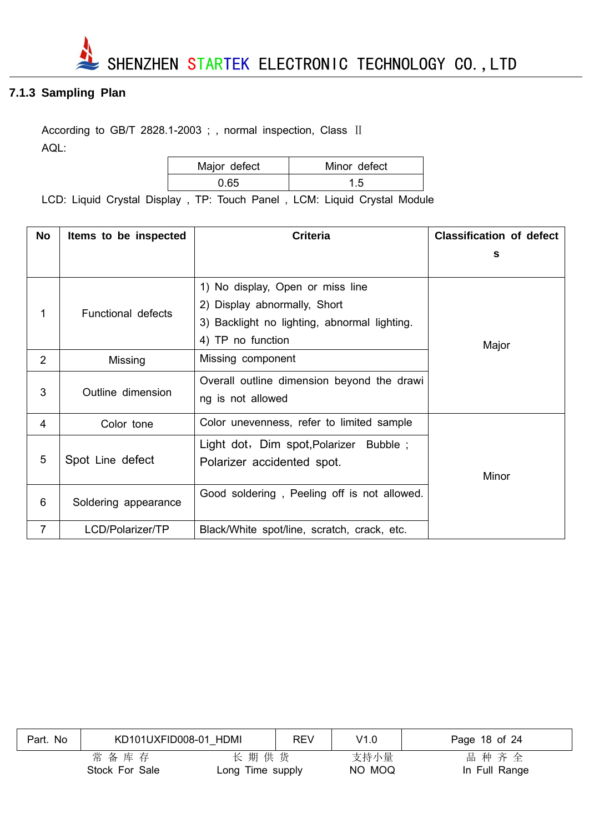

#### **7.1.3 Sampling Plan**

According to GB/T 2828.1-2003 ; , normal inspection, Class II AQL:

| Major defect | Minor defect |
|--------------|--------------|
| 0.65         |              |

LCD: Liquid Crystal Display , TP: Touch Panel , LCM: Liquid Crystal Module

| <b>No</b>      | Items to be inspected | <b>Criteria</b>                                                                                                                       | <b>Classification of defect</b> |
|----------------|-----------------------|---------------------------------------------------------------------------------------------------------------------------------------|---------------------------------|
|                |                       |                                                                                                                                       | s                               |
| 1              | Functional defects    | 1) No display, Open or miss line<br>2) Display abnormally, Short<br>3) Backlight no lighting, abnormal lighting.<br>4) TP no function | Major                           |
| 2              | Missing               | Missing component                                                                                                                     |                                 |
| 3              | Outline dimension     | Overall outline dimension beyond the drawi<br>ng is not allowed                                                                       |                                 |
| 4              | Color tone            | Color unevenness, refer to limited sample                                                                                             |                                 |
| 5              | Spot Line defect      | Light dot, Dim spot, Polarizer Bubble;<br>Polarizer accidented spot.                                                                  | Minor                           |
| 6              | Soldering appearance  | Good soldering, Peeling off is not allowed.                                                                                           |                                 |
| $\overline{7}$ | LCD/Polarizer/TP      | Black/White spot/line, scratch, crack, etc.                                                                                           |                                 |

| Part. No | KD101UXFID008-01 HDMI  |                          | <b>REV</b> | V1.0           | Page 18 of 24         |
|----------|------------------------|--------------------------|------------|----------------|-----------------------|
|          | 常备库存<br>Stock For Sale | 长期供货<br>Long Time supply |            | 支持小量<br>NO MOQ | 品种齐全<br>In Full Range |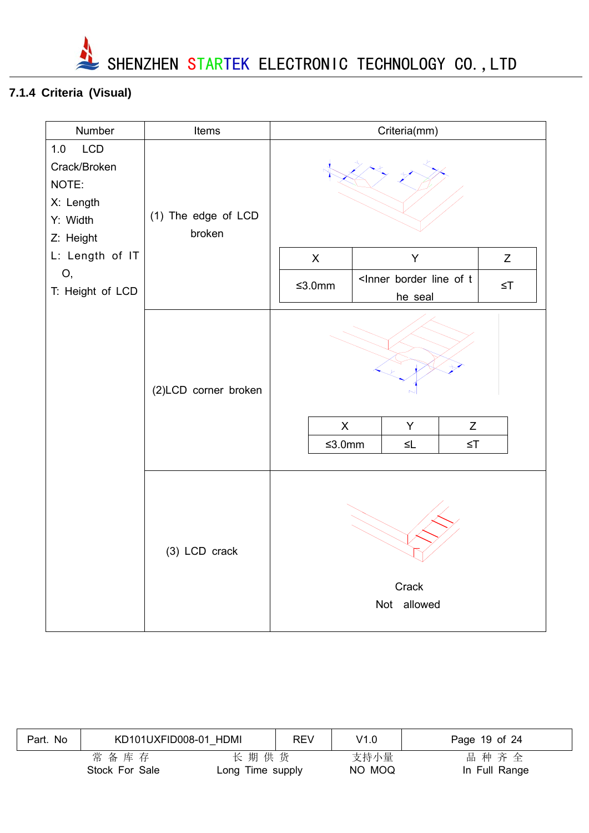

# **7.1.4 Criteria (Visual)**

| Number                                                                                                    | Items                         | Criteria(mm)                                                                  |         |  |          |
|-----------------------------------------------------------------------------------------------------------|-------------------------------|-------------------------------------------------------------------------------|---------|--|----------|
| 1.0<br><b>LCD</b><br>Crack/Broken<br>NOTE:<br>X: Length<br>Y: Width<br>Z: Height<br>L: Length of IT<br>О, | (1) The edge of LCD<br>broken | Y<br>Z<br>$\mathsf{X}$<br><lnner border="" line="" of="" t<="" td=""></lnner> |         |  |          |
| T: Height of LCD                                                                                          |                               | $≤3.0mm$                                                                      | he seal |  | $\leq$ T |
|                                                                                                           | (2)LCD corner broken          | $\mathsf{X}$<br>Y<br>Z<br>$≤3.0mm$<br>$\leq$ T<br>$\leq$ L                    |         |  |          |
|                                                                                                           | (3) LCD crack                 | Crack<br>Not allowed                                                          |         |  |          |

| Part. No | KD101UXFID008-01 HDMI  |                          | <b>REV</b> | V1.0           | Page 19 of 24         |
|----------|------------------------|--------------------------|------------|----------------|-----------------------|
|          | 常备库存<br>Stock For Sale | 长期供货<br>Long Time supply |            | 支持小量<br>NO MOQ | 品种齐全<br>In Full Range |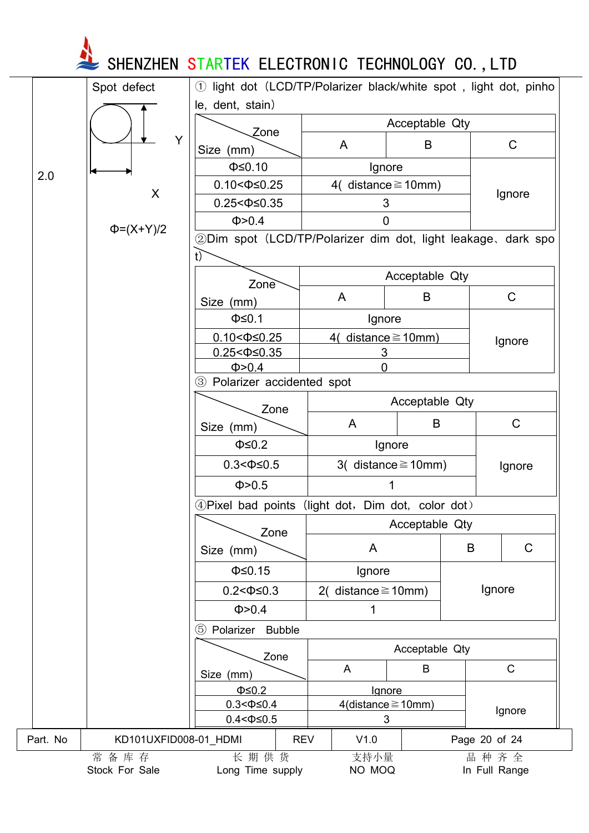**SHENZHEN STARTEK ELECTRONIC TECHNOLOGY CO.,LTD** 

|          | Spot defect            | light dot (LCD/TP/Polarizer black/white spot, light dot, pinho<br>(1) |                                                              |                                       |   |                       |
|----------|------------------------|-----------------------------------------------------------------------|--------------------------------------------------------------|---------------------------------------|---|-----------------------|
|          |                        | le, dent, stain)                                                      |                                                              |                                       |   |                       |
|          |                        | Zone                                                                  |                                                              | Acceptable Qty                        |   |                       |
|          | Y                      | Size (mm)                                                             | A                                                            | B                                     |   | $\mathsf C$           |
|          |                        | $\Phi \leq 0.10$                                                      |                                                              | Ignore                                |   |                       |
| 2.0      |                        | $0.10 < \Phi \leq 0.25$                                               |                                                              | 4( distance $\geq$ 10mm)              |   |                       |
|          | X                      | $0.25 < \Phi \leq 0.35$                                               |                                                              | 3                                     |   | Ignore                |
|          |                        | Φ > 0.4                                                               |                                                              | 0                                     |   |                       |
|          | $\Phi = (X+Y)/2$       |                                                                       |                                                              |                                       |   |                       |
|          |                        | t)                                                                    | 2Dim spot (LCD/TP/Polarizer dim dot, light leakage, dark spo |                                       |   |                       |
|          |                        | Zone                                                                  | Acceptable Qty                                               |                                       |   |                       |
|          |                        | Size (mm)                                                             | A                                                            | B                                     |   | $\mathsf C$           |
|          |                        | $\Phi \leq 0.1$                                                       | Ignore                                                       |                                       |   |                       |
|          |                        |                                                                       |                                                              |                                       |   |                       |
|          |                        | $0.10 < \Phi \leq 0.25$<br>$0.25 < \Phi \leq 0.35$                    | 4( distance $\geq$ 10mm)<br>3                                |                                       |   | Ignore                |
|          |                        | Φ > 0.4                                                               | $\overline{0}$                                               |                                       |   |                       |
|          |                        | 3 Polarizer accidented spot                                           |                                                              |                                       |   |                       |
|          |                        | Acceptable Qty                                                        |                                                              |                                       |   |                       |
|          |                        | Zone<br>Size (mm)                                                     | A                                                            | B                                     |   | $\mathsf{C}$          |
|          |                        | $\Phi \leq 0.2$                                                       |                                                              | Ignore                                |   |                       |
|          |                        |                                                                       |                                                              |                                       |   |                       |
|          |                        | $0.3 < \Phi \leq 0.5$                                                 |                                                              | 3( distance $\geq$ 10mm)              |   | Ignore                |
|          |                        | Φ > 0.5                                                               |                                                              |                                       |   |                       |
|          |                        | 4) Pixel bad points (light dot, Dim dot, color dot)                   |                                                              |                                       |   |                       |
|          |                        | Zone                                                                  |                                                              | Acceptable Qty                        |   |                       |
|          |                        | Size (mm)                                                             | A                                                            |                                       | B | $\mathsf C$           |
|          |                        | $\Phi \leq 0.15$                                                      | Ignore                                                       |                                       |   |                       |
|          |                        | $0.2 < \Phi \leq 0.3$                                                 | 2( distance $\geq$ 10mm)                                     |                                       |   | Ignore                |
|          |                        | Φ > 0.4                                                               | 1                                                            |                                       |   |                       |
|          |                        | 5 Polarizer<br><b>Bubble</b>                                          |                                                              |                                       |   |                       |
|          |                        |                                                                       |                                                              | Acceptable Qty                        |   |                       |
|          |                        | Zone                                                                  | A                                                            | B                                     |   | $\mathsf C$           |
|          |                        | Size (mm)<br>$\Phi \leq 0.2$                                          |                                                              |                                       |   |                       |
|          |                        | $0.3 < \Phi \leq 0.4$                                                 |                                                              | Ignore<br>$4$ (distance $\geq 10$ mm) |   |                       |
|          |                        | $0.4 < \Phi \le 0.5$                                                  |                                                              | 3                                     |   | Ignore                |
| Part. No | KD101UXFID008-01_HDMI  | <b>REV</b>                                                            | V1.0                                                         |                                       |   | Page 20 of 24         |
|          | 常备库存<br>Stock For Sale | 长期供货<br>Long Time supply                                              | 支持小量<br>NO MOQ                                               |                                       |   | 品种齐全<br>In Full Range |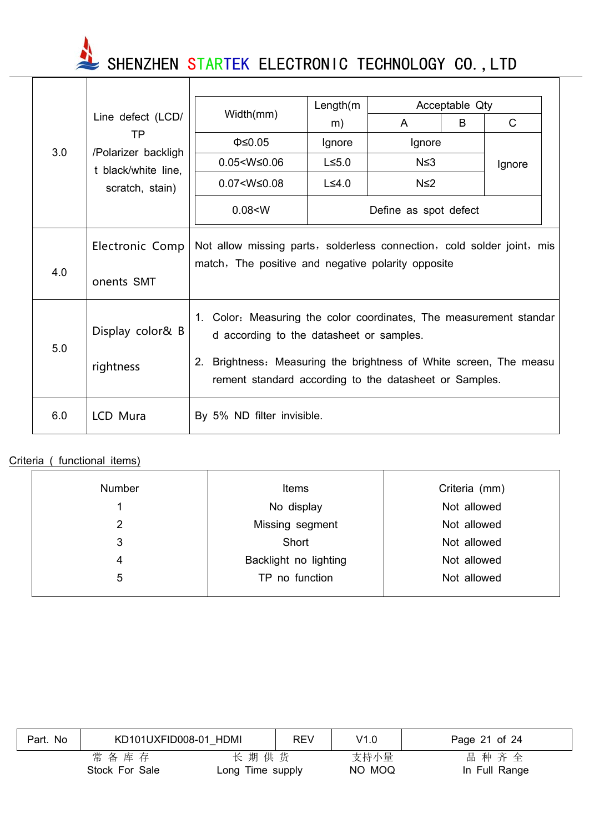SHENZHEN STARTEK ELECTRONIC TECHNOLOGY CO., LTD

|     |                                        |                                                                                                                                                                                                                                                   | Length(m)             |            | Acceptable Qty |              |  |
|-----|----------------------------------------|---------------------------------------------------------------------------------------------------------------------------------------------------------------------------------------------------------------------------------------------------|-----------------------|------------|----------------|--------------|--|
|     | Line defect (LCD/                      | Width(mm)                                                                                                                                                                                                                                         | m)                    | A          | B              | $\mathsf{C}$ |  |
|     | ТP                                     | $\Phi \leq 0.05$                                                                                                                                                                                                                                  | Ignore                | Ignore     |                |              |  |
| 3.0 | /Polarizer backligh                    | $0.05 < W \leq 0.06$                                                                                                                                                                                                                              | $L \le 5.0$           | $N \leq 3$ |                | Ignore       |  |
|     | t black/white line,<br>scratch, stain) | $0.07 < W \leq 0.08$                                                                                                                                                                                                                              | $L \leq 4.0$          | $N \leq 2$ |                |              |  |
|     |                                        | 0.08 < W                                                                                                                                                                                                                                          | Define as spot defect |            |                |              |  |
|     | Electronic Comp                        | Not allow missing parts, solderless connection, cold solder joint, mis                                                                                                                                                                            |                       |            |                |              |  |
| 4.0 | onents SMT                             | match, The positive and negative polarity opposite                                                                                                                                                                                                |                       |            |                |              |  |
| 5.0 | Display color& B<br>rightness          | 1. Color: Measuring the color coordinates, The measurement standar<br>d according to the datasheet or samples.<br>Brightness: Measuring the brightness of White screen, The measu<br>2.<br>rement standard according to the datasheet or Samples. |                       |            |                |              |  |
| 6.0 | LCD Mura                               | By 5% ND filter invisible.                                                                                                                                                                                                                        |                       |            |                |              |  |

#### Criteria ( functional items)

| <b>Number</b> | <b>Items</b>          | Criteria (mm) |
|---------------|-----------------------|---------------|
|               | No display            | Not allowed   |
| 2             | Missing segment       | Not allowed   |
| 3             | Short                 | Not allowed   |
| 4             | Backlight no lighting | Not allowed   |
| 5             | TP no function        | Not allowed   |
|               |                       |               |

| Part. No | KD101UXFID008-01 HDMI  |                          | <b>REV</b> | V1.0           | Page 21 of 24         |
|----------|------------------------|--------------------------|------------|----------------|-----------------------|
|          | 常备库存<br>Stock For Sale | 长期供货<br>Long Time supply |            | 支持小量<br>NO MOQ | 品种齐全<br>In Full Range |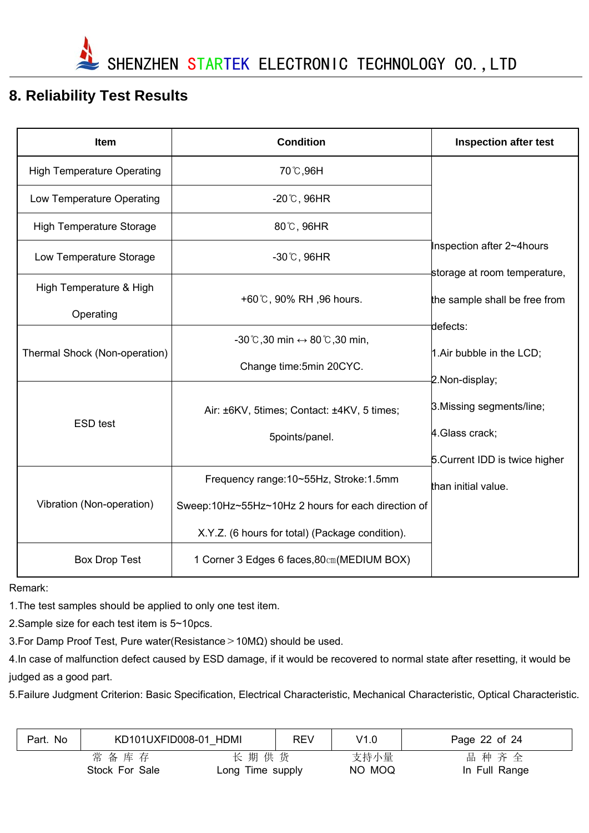

# **8. Reliability Test Results**

| Item                              | <b>Condition</b>                                                | <b>Inspection after test</b>                                  |
|-----------------------------------|-----------------------------------------------------------------|---------------------------------------------------------------|
| <b>High Temperature Operating</b> | 70 °C,96H                                                       |                                                               |
| Low Temperature Operating         | $-20^{\circ}$ C, 96HR                                           |                                                               |
| <b>High Temperature Storage</b>   | 80°C, 96HR                                                      |                                                               |
| Low Temperature Storage           | $-30^{\circ}$ C, 96HR                                           | Inspection after 2~4hours                                     |
| High Temperature & High           | +60°C, 90% RH, 96 hours.                                        | storage at room temperature,<br>the sample shall be free from |
| Operating                         |                                                                 | defects:                                                      |
| Thermal Shock (Non-operation)     | $-30^{\circ}$ C,30 min $\leftrightarrow$ 80 $\degree$ C,30 min, | 1. Air bubble in the LCD;                                     |
|                                   | Change time: 5min 20CYC.                                        | 2.Non-display;                                                |
| <b>ESD test</b>                   | Air: ±6KV, 5times; Contact: ±4KV, 5 times;<br>5points/panel.    | 3. Missing segments/line;<br>4. Glass crack;                  |
|                                   |                                                                 | 5. Current IDD is twice higher                                |
|                                   | Frequency range: 10~55Hz, Stroke: 1.5mm                         | than initial value.                                           |
| Vibration (Non-operation)         | Sweep:10Hz~55Hz~10Hz 2 hours for each direction of              |                                                               |
|                                   | X.Y.Z. (6 hours for total) (Package condition).                 |                                                               |
| <b>Box Drop Test</b>              | 1 Corner 3 Edges 6 faces, 80cm (MEDIUM BOX)                     |                                                               |

Remark:

1.The test samples should be applied to only one test item.

2.Sample size for each test item is 5~10pcs.

3.For Damp Proof Test, Pure water(Resistance>10MΩ) should be used.

4.In case of malfunction defect caused by ESD damage, if it would be recovered to normal state after resetting, it would be judged as a good part.

5.Failure Judgment Criterion: Basic Specification, Electrical Characteristic, Mechanical Characteristic, Optical Characteristic.

| Part. No | KD101UXFID008-01 HDMI  |                          | <b>REV</b> | V1.0           | Page 22 of 24         |
|----------|------------------------|--------------------------|------------|----------------|-----------------------|
|          | 常备库存<br>Stock For Sale | 长期供货<br>Long Time supply |            | 支持小量<br>NO MOQ | 品种齐全<br>In Full Range |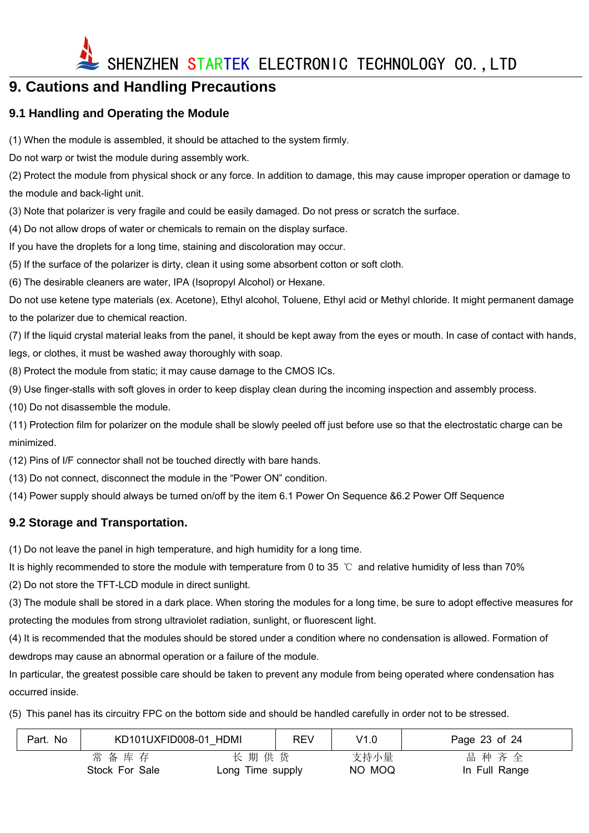

# **9. Cautions and Handling Precautions**

#### **9.1 Handling and Operating the Module**

(1) When the module is assembled, it should be attached to the system firmly.

Do not warp or twist the module during assembly work.

(2) Protect the module from physical shock or any force. In addition to damage, this may cause improper operation or damage to the module and back-light unit.

(3) Note that polarizer is very fragile and could be easily damaged. Do not press or scratch the surface.

(4) Do not allow drops of water or chemicals to remain on the display surface.

If you have the droplets for a long time, staining and discoloration may occur.

(5) If the surface of the polarizer is dirty, clean it using some absorbent cotton or soft cloth.

(6) The desirable cleaners are water, IPA (Isopropyl Alcohol) or Hexane.

Do not use ketene type materials (ex. Acetone), Ethyl alcohol, Toluene, Ethyl acid or Methyl chloride. It might permanent damage to the polarizer due to chemical reaction.

(7) If the liquid crystal material leaks from the panel, it should be kept away from the eyes or mouth. In case of contact with hands, legs, or clothes, it must be washed away thoroughly with soap.

(8) Protect the module from static; it may cause damage to the CMOS ICs.

(9) Use finger-stalls with soft gloves in order to keep display clean during the incoming inspection and assembly process.

(10) Do not disassemble the module.

(11) Protection film for polarizer on the module shall be slowly peeled off just before use so that the electrostatic charge can be minimized.

(12) Pins of I/F connector shall not be touched directly with bare hands.

(13) Do not connect, disconnect the module in the "Power ON" condition.

(14) Power supply should always be turned on/off by the item 6.1 Power On Sequence &6.2 Power Off Sequence

#### **9.2 Storage and Transportation.**

(1) Do not leave the panel in high temperature, and high humidity for a long time.

It is highly recommended to store the module with temperature from 0 to 35 ℃ and relative humidity of less than 70%

(2) Do not store the TFT-LCD module in direct sunlight.

(3) The module shall be stored in a dark place. When storing the modules for a long time, be sure to adopt effective measures for protecting the modules from strong ultraviolet radiation, sunlight, or fluorescent light.

(4) It is recommended that the modules should be stored under a condition where no condensation is allowed. Formation of dewdrops may cause an abnormal operation or a failure of the module.

In particular, the greatest possible care should be taken to prevent any module from being operated where condensation has occurred inside.

(5) This panel has its circuitry FPC on the bottom side and should be handled carefully in order not to be stressed.

| Part. No | KD101UXFID008-01 HDMI |                  | <b>REV</b> | V1.0   | Page 23 of 24 |
|----------|-----------------------|------------------|------------|--------|---------------|
|          | 常备库存                  | 长期供货             |            | 支持小量   | 品种齐全          |
|          | Stock For Sale        | Long Time supply |            | NO MOQ | In Full Range |